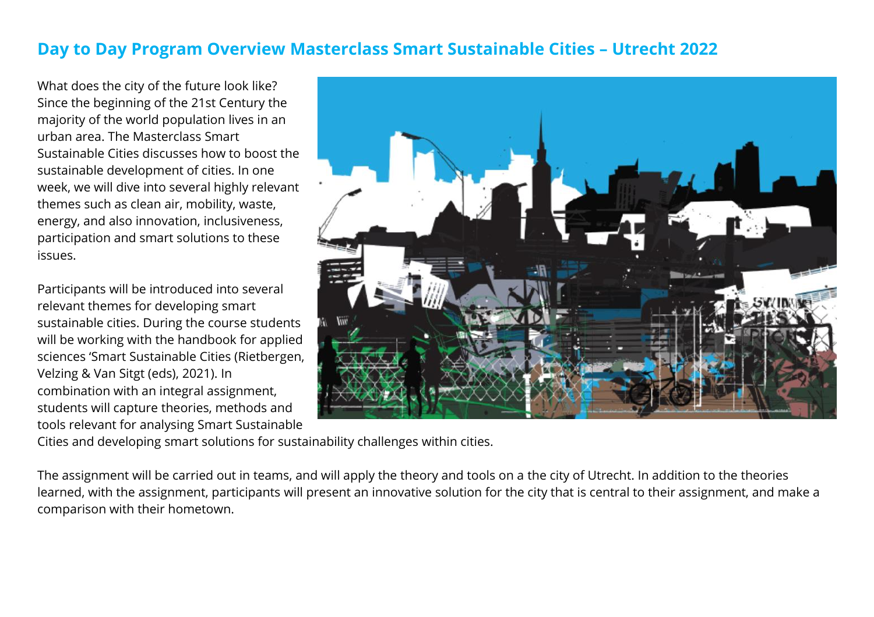## **Day to Day Program Overview Masterclass Smart Sustainable Cities – Utrecht 2022**

What does the city of the future look like? Since the beginning of the 21st Century the majority of the world population lives in an urban area. The Masterclass Smart Sustainable Cities discusses how to boost the sustainable development of cities. In one week, we will dive into several highly relevant themes such as clean air, mobility, waste, energy, and also innovation, inclusiveness, participation and smart solutions to these issues.

Participants will be introduced into several relevant themes for developing smart sustainable cities. During the course students will be working with the handbook for applied sciences 'Smart Sustainable Cities (Rietbergen, Velzing & Van Sitgt (eds), 2021). In combination with an integral assignment, students will capture theories, methods and tools relevant for analysing Smart Sustainable



Cities and developing smart solutions for sustainability challenges within cities.

The assignment will be carried out in teams, and will apply the theory and tools on a the city of Utrecht. In addition to the theories learned, with the assignment, participants will present an innovative solution for the city that is central to their assignment, and make a comparison with their hometown.